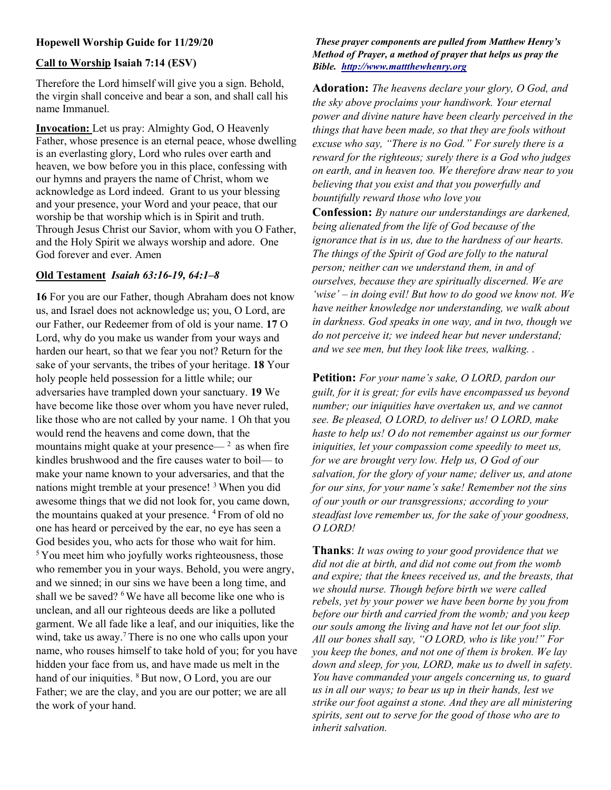# Hopewell Worship Guide for 11/29/20

#### Call to Worship Isaiah 7:14 (ESV)

Therefore the Lord himself will give you a sign. Behold, the virgin shall conceive and bear a son, and shall call his name Immanuel. Ĩ

Invocation: Let us pray: Almighty God, O Heavenly Father, whose presence is an eternal peace, whose dwelling is an everlasting glory, Lord who rules over earth and heaven, we bow before you in this place, confessing with our hymns and prayers the name of Christ, whom we acknowledge as Lord indeed. Grant to us your blessing and your presence, your Word and your peace, that our worship be that worship which is in Spirit and truth. Through Jesus Christ our Savior, whom with you O Father, and the Holy Spirit we always worship and adore. One God forever and ever. Amen

# Old Testament Isaiah 63:16-19, 64:1–8

16 For you are our Father, though Abraham does not know us, and Israel does not acknowledge us; you, O Lord, are our Father, our Redeemer from of old is your name. 17 O Lord, why do you make us wander from your ways and harden our heart, so that we fear you not? Return for the sake of your servants, the tribes of your heritage. 18 Your holy people held possession for a little while; our adversaries have trampled down your sanctuary. 19 We have become like those over whom you have never ruled, like those who are not called by your name. 1 Oh that you would rend the heavens and come down, that the mountains might quake at your presence—  $<sup>2</sup>$  as when fire</sup> kindles brushwood and the fire causes water to boil— to make your name known to your adversaries, and that the nations might tremble at your presence! <sup>3</sup> When you did awesome things that we did not look for, you came down, the mountains quaked at your presence. <sup>4</sup> From of old no one has heard or perceived by the ear, no eye has seen a God besides you, who acts for those who wait for him. <sup>5</sup>You meet him who joyfully works righteousness, those who remember you in your ways. Behold, you were angry, and we sinned; in our sins we have been a long time, and shall we be saved? <sup>6</sup>We have all become like one who is unclean, and all our righteous deeds are like a polluted garment. We all fade like a leaf, and our iniquities, like the wind, take us away.<sup>7</sup> There is no one who calls upon your name, who rouses himself to take hold of you; for you have hidden your face from us, and have made us melt in the hand of our iniquities. <sup>8</sup>But now, O Lord, you are our Father; we are the clay, and you are our potter; we are all the work of your hand.

#### These prayer components are pulled from Matthew Henry's Method of Prayer, a method of prayer that helps us pray the Bible. http://www.mattthewhenry.org

Adoration: The heavens declare your glory, O God, and the sky above proclaims your handiwork. Your eternal power and divine nature have been clearly perceived in the things that have been made, so that they are fools without excuse who say, "There is no God." For surely there is a reward for the righteous; surely there is a God who judges on earth, and in heaven too. We therefore draw near to you believing that you exist and that you powerfully and bountifully reward those who love you

Confession: By nature our understandings are darkened, being alienated from the life of God because of the ignorance that is in us, due to the hardness of our hearts. The things of the Spirit of God are folly to the natural person; neither can we understand them, in and of ourselves, because they are spiritually discerned. We are 'wise' – in doing evil! But how to do good we know not. We have neither knowledge nor understanding, we walk about in darkness. God speaks in one way, and in two, though we do not perceive it; we indeed hear but never understand; and we see men, but they look like trees, walking. .

Petition: For your name's sake, O LORD, pardon our guilt, for it is great; for evils have encompassed us beyond number; our iniquities have overtaken us, and we cannot see. Be pleased, O LORD, to deliver us! O LORD, make haste to help us! O do not remember against us our former iniquities, let your compassion come speedily to meet us, for we are brought very low. Help us, O God of our salvation, for the glory of your name; deliver us, and atone for our sins, for your name's sake! Remember not the sins of our youth or our transgressions; according to your steadfast love remember us, for the sake of your goodness, O LORD!

**Thanks:** It was owing to your good providence that we did not die at birth, and did not come out from the womb and expire; that the knees received us, and the breasts, that we should nurse. Though before birth we were called rebels, yet by your power we have been borne by you from before our birth and carried from the womb; and you keep our souls among the living and have not let our foot slip. All our bones shall say, "O LORD, who is like you!" For you keep the bones, and not one of them is broken. We lay down and sleep, for you, LORD, make us to dwell in safety. You have commanded your angels concerning us, to guard us in all our ways; to bear us up in their hands, lest we strike our foot against a stone. And they are all ministering spirits, sent out to serve for the good of those who are to inherit salvation.